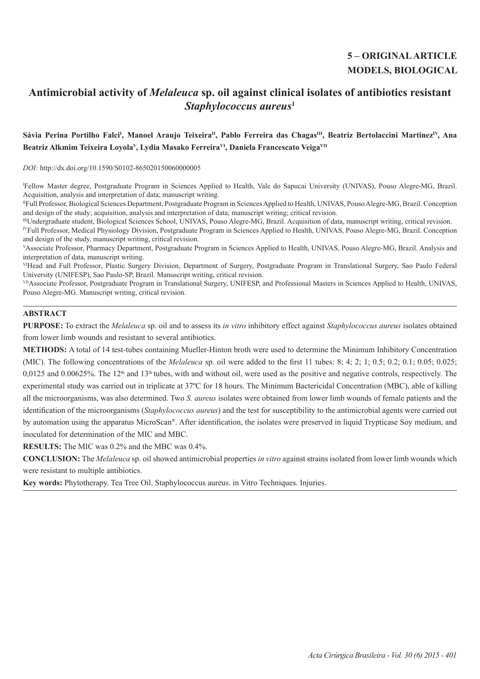# **5 – ORIGINAL ARTICLE MODELS, BIOLOGICAL**

# **Antimicrobial activity of** *Melaleuca* **sp. oil against clinical isolates of antibiotics resistant**  *Staphylococcus aureus***<sup>1</sup>**

## Sávia Perina Portilho Falci<sup>i</sup>, Manoel Araujo Teixeira<sup>n</sup>, Pablo Ferreira das Chagas<sup>m</sup>, Beatriz Bertolaccini Martinez<sup>iv</sup>, Ana Beatriz Alkmim Teixeira Loyola<sup>v</sup>, Lydia Masako Ferreira<sup>vi</sup>, Daniela Francescato Veiga<sup>vii</sup>

*DOI:* http://dx.doi.org/10.1590/S0102-865020150060000005

I Fellow Master degree, Postgraduate Program in Sciences Applied to Health, Vale do Sapucai University (UNIVAS), Pouso Alegre-MG, Brazil. Acquisition, analysis and interpretation of data; manuscript writing.

IIFull Professor, Biological Sciences Department, Postgraduate Program in Sciences Applied to Health, UNIVAS, Pouso Alegre-MG, Brazil. Conception and design of the study; acquisition, analysis and interpretation of data; manuscript writing; critical revision.

IIIUndergraduate student, Biological Sciences School, UNIVAS, Pouso Alegre-MG, Brazil. Acquisition of data, manuscript writing, critical revision. IVFull Professor, Medical Physiology Division, Postgraduate Program in Sciences Applied to Health, UNIVAS, Pouso Alegre-MG, Brazil. Conception and design of the study, manuscript writing, critical revision.

VAssociate Professor, Pharmacy Department, Postgraduate Program in Sciences Applied to Health, UNIVAS, Pouso Alegre-MG, Brazil. Analysis and interpretation of data, manuscript writing.

VIHead and Full Professor, Plastic Surgery Division, Department of Surgery, Postgraduate Program in Translational Surgery, Sao Paulo Federal University (UNIFESP), Sao Paulo-SP, Brazil. Manuscript writing, critical revision.

VIIAssociate Professor, Postgraduate Program in Translational Surgery, UNIFESP, and Professional Masters in Sciences Applied to Health, UNIVAS, Pouso Alegre-MG. Manuscript writing, critical revision.

## **ABSTRACT**

**PURPOSE:** To extract the *Melaleuca* sp. oil and to assess its *in vitro* inhibitory effect against *Staphylococcus aureus* isolates obtained from lower limb wounds and resistant to several antibiotics.

**METHODS:** A total of 14 test-tubes containing Mueller-Hinton broth were used to determine the Minimum Inhibitory Concentration (MIC). The following concentrations of the *Melaleuca* sp. oil were added to the first 11 tubes: 8; 4; 2; 1; 0.5; 0.2; 0.1; 0.05; 0.025; 0,0125 and 0.00625%. The  $12<sup>th</sup>$  and  $13<sup>th</sup>$  tubes, with and without oil, were used as the positive and negative controls, respectively. The experimental study was carried out in triplicate at 37ºC for 18 hours. The Minimum Bactericidal Concentration (MBC), able of killing all the microorganisms, was also determined. Two *S. aureus* isolates were obtained from lower limb wounds of female patients and the identification of the microorganisms (*Staphylococcus aureus*) and the test for susceptibility to the antimicrobial agents were carried out by automation using the apparatus MicroScan®. After identification, the isolates were preserved in liquid Trypticase Soy medium, and inoculated for determination of the MIC and MBC.

**RESULTS:** The MIC was 0.2% and the MBC was 0.4%.

**CONCLUSION:** The *Melaleuca* sp. oil showed antimicrobial properties *in vitro* against strains isolated from lower limb wounds which were resistant to multiple antibiotics.

**Key words:** Phytotherapy. Tea Tree Oil. Staphylococcus aureus. in Vitro Techniques. Injuries.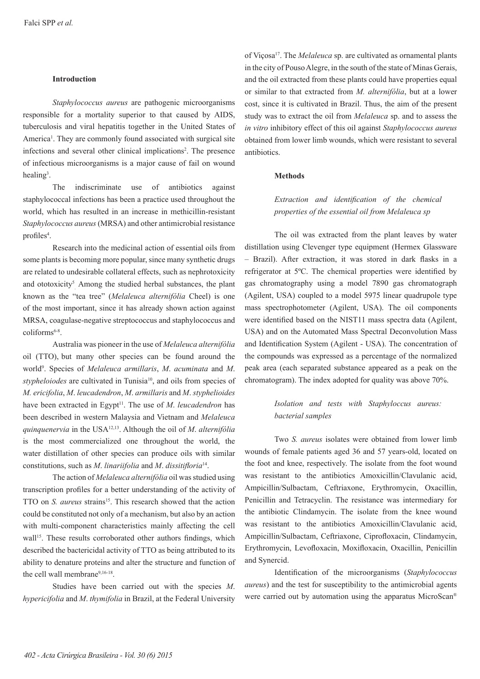### **Introduction**

*Staphylococcus aureus* are pathogenic microorganisms responsible for a mortality superior to that caused by AIDS, tuberculosis and viral hepatitis together in the United States of America<sup>1</sup>. They are commonly found associated with surgical site infections and several other clinical implications<sup>2</sup>. The presence of infectious microorganisms is a major cause of fail on wound healing<sup>3</sup>.

The indiscriminate use of antibiotics against staphylococcal infections has been a practice used throughout the world, which has resulted in an increase in methicillin-resistant *Staphylococcus aureus* (MRSA) and other antimicrobial resistance profiles<sup>4</sup>.

Research into the medicinal action of essential oils from some plants is becoming more popular, since many synthetic drugs are related to undesirable collateral effects, such as nephrotoxicity and ototoxicity<sup>5</sup> Among the studied herbal substances, the plant known as the "tea tree" (*Melaleuca alternifólia* Cheel) is one of the most important, since it has already shown action against MRSA, coagulase-negative streptococcus and staphylococcus and coliforms<sup>6-8</sup>.

Australia was pioneer in the use of *Melaleuca alternifólia*  oil (TTO), but many other species can be found around the world9 . Species of *Melaleuca armillaris*, *M*. *acuminata* and *M*. *stypheloiodes* are cultivated in Tunisia<sup>10</sup>, and oils from species of *M. ericifolia*, *M*. *leucadendron*, *M*. *armillaris* and *M*. *styphelioides* have been extracted in Egypt<sup>11</sup>. The use of *M. leucadendron* has been described in western Malaysia and Vietnam and *Melaleuca quinquenervia* in the USA12,13. Although the oil of *M*. *alternifólia* is the most commercialized one throughout the world, the water distillation of other species can produce oils with similar constitutions, such as *M*. *linariifolia* and *M*. *dissitifloria*14.

The action of *Melaleuca alternifólia* oil was studied using transcription profiles for a better understanding of the activity of TTO on *S. aureus* strains<sup>15</sup>. This research showed that the action could be constituted not only of a mechanism, but also by an action with multi-component characteristics mainly affecting the cell wall<sup>15</sup>. These results corroborated other authors findings, which described the bactericidal activity of TTO as being attributed to its ability to denature proteins and alter the structure and function of the cell wall membrane<sup>9,16-18</sup>.

Studies have been carried out with the species *M*. *hypericifolia* and *M*. *thymifolia* in Brazil, at the Federal University of Viçosa17. The *Melaleuca* sp. are cultivated as ornamental plants in the city of Pouso Alegre, in the south of the state of Minas Gerais, and the oil extracted from these plants could have properties equal or similar to that extracted from *M. alternifólia*, but at a lower cost, since it is cultivated in Brazil. Thus, the aim of the present study was to extract the oil from *Melaleuca* sp. and to assess the *in vitro* inhibitory effect of this oil against *Staphylococcus aureus* obtained from lower limb wounds, which were resistant to several antibiotics.

### **Methods**

# *Extraction and identification of the chemical properties of the essential oil from Melaleuca sp*

The oil was extracted from the plant leaves by water distillation using Clevenger type equipment (Hermex Glassware – Brazil). After extraction, it was stored in dark flasks in a refrigerator at 5ºC. The chemical properties were identified by gas chromatography using a model 7890 gas chromatograph (Agilent, USA) coupled to a model 5975 linear quadrupole type mass spectrophotometer (Agilent, USA). The oil components were identified based on the NIST11 mass spectra data (Agilent, USA) and on the Automated Mass Spectral Deconvolution Mass and Identification System (Agilent - USA). The concentration of the compounds was expressed as a percentage of the normalized peak area (each separated substance appeared as a peak on the chromatogram). The index adopted for quality was above 70%.

## *Isolation and tests with Staphyloccus aureus: bacterial samples*

Two *S. aureus* isolates were obtained from lower limb wounds of female patients aged 36 and 57 years-old, located on the foot and knee, respectively. The isolate from the foot wound was resistant to the antibiotics Amoxicillin/Clavulanic acid, Ampicillin/Sulbactam, Ceftriaxone, Erythromycin, Oxacillin, Penicillin and Tetracyclin. The resistance was intermediary for the antibiotic Clindamycin. The isolate from the knee wound was resistant to the antibiotics Amoxicillin/Clavulanic acid, Ampicillin/Sulbactam, Ceftriaxone, Ciprofloxacin, Clindamycin, Erythromycin, Levofloxacin, Moxifloxacin, Oxacillin, Penicillin and Synercid.

Identification of the microorganisms (*Staphylococcus aureus*) and the test for susceptibility to the antimicrobial agents were carried out by automation using the apparatus MicroScan®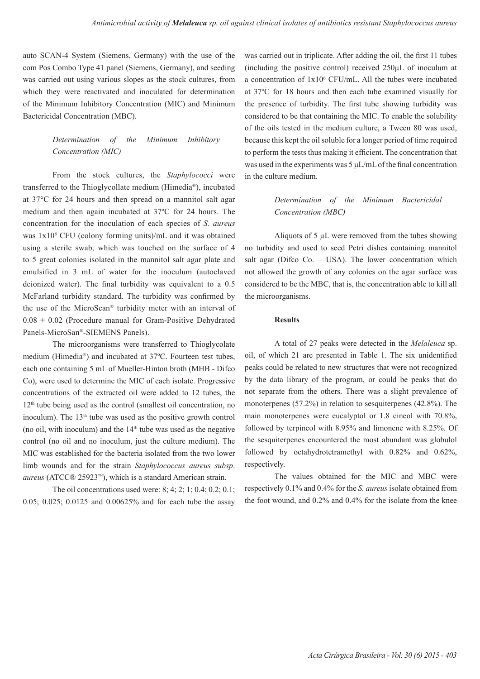auto SCAN-4 System (Siemens, Germany) with the use of the com Pos Combo Type 41 panel (Siemens, Germany), and seeding was carried out using various slopes as the stock cultures, from which they were reactivated and inoculated for determination of the Minimum Inhibitory Concentration (MIC) and Minimum Bactericidal Concentration (MBC).

# *Determination of the Minimum Inhibitory Concentration (MIC)*

From the stock cultures, the *Staphylococci* were transferred to the Thioglycollate medium (Himedia®), incubated at 37°C for 24 hours and then spread on a mannitol salt agar medium and then again incubated at 37ºC for 24 hours. The concentration for the inoculation of each species of *S. aureus* was 1x10<sup>6</sup> CFU (colony forming units)/mL and it was obtained using a sterile swab, which was touched on the surface of 4 to 5 great colonies isolated in the mannitol salt agar plate and emulsified in 3 mL of water for the inoculum (autoclaved deionized water). The final turbidity was equivalent to a 0.5 McFarland turbidity standard. The turbidity was confirmed by the use of the MicroScan® turbidity meter with an interval of  $0.08 \pm 0.02$  (Procedure manual for Gram-Positive Dehydrated Panels-MicroSan®-SIEMENS Panels).

The microorganisms were transferred to Thioglycolate medium (Himedia®) and incubated at 37ºC. Fourteen test tubes, each one containing 5 mL of Mueller-Hinton broth (MHB - Difco Co), were used to determine the MIC of each isolate. Progressive concentrations of the extracted oil were added to 12 tubes, the  $12<sup>th</sup>$  tube being used as the control (smallest oil concentration, no inoculum). The  $13<sup>th</sup>$  tube was used as the positive growth control (no oil, with inoculum) and the  $14<sup>th</sup>$  tube was used as the negative control (no oil and no inoculum, just the culture medium). The MIC was established for the bacteria isolated from the two lower limb wounds and for the strain *Staphylococcus aureus subsp*. *aureus* (ATCC® 25923™), which is a standard American strain.

The oil concentrations used were: 8; 4; 2; 1; 0.4; 0.2; 0.1; 0.05; 0.025; 0.0125 and 0.00625% and for each tube the assay

was carried out in triplicate. After adding the oil, the first 11 tubes (including the positive control) received 250µL of inoculum at a concentration of 1x106 CFU/mL. All the tubes were incubated at 37ºC for 18 hours and then each tube examined visually for the presence of turbidity. The first tube showing turbidity was considered to be that containing the MIC. To enable the solubility of the oils tested in the medium culture, a Tween 80 was used, because this kept the oil soluble for a longer period of time required to perform the tests thus making it efficient. The concentration that was used in the experiments was 5 μL/mL of the final concentration in the culture medium.

## *Determination of the Minimum Bactericidal Concentration (MBC)*

Aliquots of 5 µL were removed from the tubes showing no turbidity and used to seed Petri dishes containing mannitol salt agar (Difco Co. - USA). The lower concentration which not allowed the growth of any colonies on the agar surface was considered to be the MBC, that is, the concentration able to kill all the microorganisms.

### **Results**

A total of 27 peaks were detected in the *Melaleuca* sp. oil, of which 21 are presented in Table 1. The six unidentified peaks could be related to new structures that were not recognized by the data library of the program, or could be peaks that do not separate from the others. There was a slight prevalence of monoterpenes (57.2%) in relation to sesquiterpenes (42.8%). The main monoterpenes were eucalyptol or 1.8 cineol with 70.8%, followed by terpineol with 8.95% and limonene with 8.25%. Of the sesquiterpenes encountered the most abundant was globulol followed by octahydrotetramethyl with 0.82% and 0.62%, respectively.

The values obtained for the MIC and MBC were respectively 0.1% and 0.4% for the *S. aureus* isolate obtained from the foot wound, and 0.2% and 0.4% for the isolate from the knee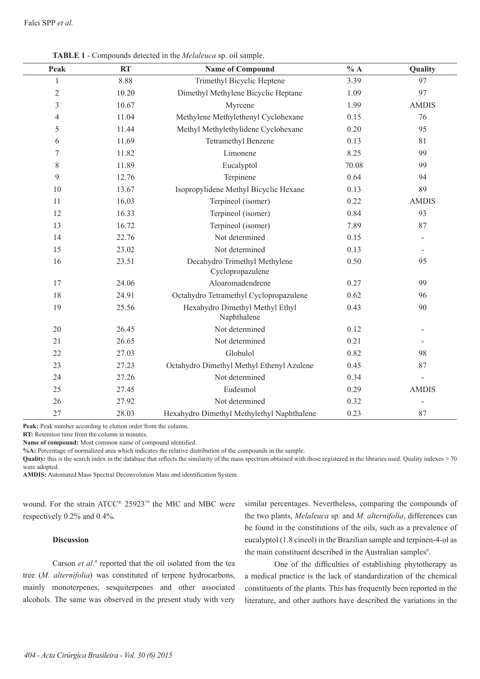| Peak           | RT    | <b>Name of Compound</b>                           | % A   | Quality      |
|----------------|-------|---------------------------------------------------|-------|--------------|
| $\mathbf{1}$   | 8.88  | Trimethyl Bicyclic Heptene                        | 3.39  | 97           |
| $\mathfrak{2}$ | 10.20 | Dimethyl Methylene Bicyclic Heptane               | 1.09  | 97           |
| 3              | 10.67 | Myrcene                                           | 1.99  | <b>AMDIS</b> |
| $\overline{4}$ | 11.04 | Methylene Methylethenyl Cyclohexane               | 0.15  | 76           |
| 5              | 11.44 | Methyl Methylethylidene Cyclohexane               | 0.20  | 95           |
| 6              | 11.69 | <b>Tetramethyl Benzene</b>                        | 0.13  | 81           |
| 7              | 11.82 | Limonene                                          | 8.25  | 99           |
| $8\,$          | 11.89 | Eucalyptol                                        | 70.08 | 99           |
| 9              | 12.76 | Terpinene                                         | 0.64  | 94           |
| $10\,$         | 13.67 | Isopropylidene Methyl Bicyclic Hexane             | 0.13  | 89           |
| 11             | 16.03 | Terpineol (isomer)                                | 0.22  | <b>AMDIS</b> |
| 12             | 16.33 | Terpineol (isomer)                                | 0.84  | 93           |
| 13             | 16.72 | Terpineol (isomer)                                | 7.89  | 87           |
| 14             | 22.76 | Not determined                                    | 0.15  |              |
| 15             | 23.02 | Not determined                                    | 0.13  |              |
| 16             | 23.51 | Decahydro Trimethyl Methylene<br>Cyclopropazulene | 0.50  | 95           |
| 17             | 24.06 | Aloaromadendrene                                  | 0.27  | 99           |
| 18             | 24.91 | Octahydro Tetramethyl Cyclopropazulene            | 0.62  | 96           |
| 19             | 25.56 | Hexahydro Dimethyl Methyl Ethyl<br>Naphthalene    | 0.43  | 90           |
| 20             | 26.45 | Not determined                                    | 0.12  |              |
| 21             | 26.65 | Not determined                                    | 0.21  |              |
| 22             | 27.03 | Globulol                                          | 0.82  | 98           |
| 23             | 27.23 | Octahydro Dimethyl Methyl Ethenyl Azulene         | 0.45  | 87           |
| 24             | 27.26 | Not determined                                    | 0.34  |              |
| 25             | 27.45 | Eudesmol                                          | 0.29  | <b>AMDIS</b> |
| 26             | 27.92 | Not determined                                    | 0.32  |              |
| 27             | 28.03 | Hexahydro Dimethyl Methylethyl Naphthalene        | 0.23  | 87           |

**TABLE 1** - Compounds detected in the *Melaleuca* sp. oil sample.

**Peak:** Peak number according to elution order from the column.

**RT:** Retention time from the column in minutes.

**Name of compound:** Most common name of compound identified.

**%A:** Percentage of normalized area which indicates the relative distribution of the compounds in the sample.

**Quality:** this is the search index in the database that reflects the similarity of the mass spectrum obtained with those registered in the libraries used. Quality indexes > 70 were adopted.

**AMDIS:** Automated Mass Spectral Deconvolution Mass and identification System.

wound. For the strain ATCC® 25923™ the MIC and MBC were respectively 0.2% and 0.4%.

### **Discussion**

Carson *et al.*<sup>9</sup> reported that the oil isolated from the tea tree (*M. alternifolia*) was constituted of terpene hydrocarbons, mainly monoterpenes, sesquiterpenes and other associated alcohols. The same was observed in the present study with very

similar percentages. Nevertheless, comparing the compounds of the two plants, *Melaleuca* sp. and *M. alternifolia*, differences can be found in the constitutions of the oils, such as a prevalence of eucalyptol (1.8 cineol) in the Brazilian sample and terpinen-4-ol as the main constituent described in the Australian samples<sup>9</sup>.

One of the difficulties of establishing phytotherapy as a medical practice is the lack of standardization of the chemical constituents of the plants. This has frequently been reported in the literature, and other authors have described the variations in the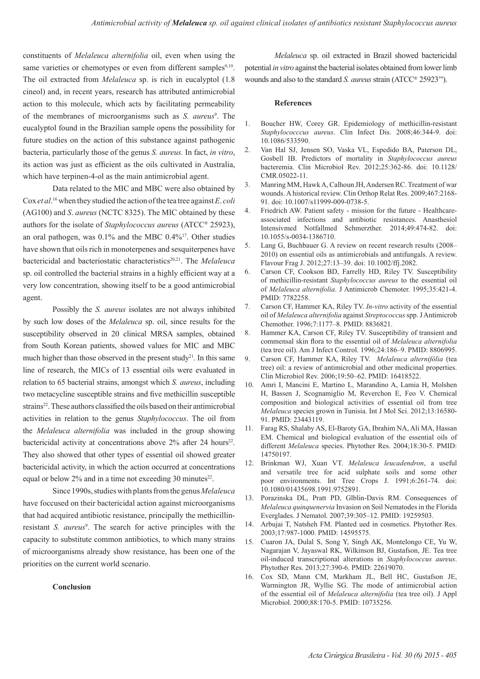constituents of *Melaleuca alternifolia* oil, even when using the same varieties or chemotypes or even from different samples<sup>9,19</sup>. The oil extracted from *Melaleuca* sp. is rich in eucalyptol (1.8 cineol) and, in recent years, research has attributed antimicrobial action to this molecule, which acts by facilitating permeability of the membranes of microorganisms such as *S. aureus*<sup>9</sup>. The eucalyptol found in the Brazilian sample opens the possibility for future studies on the action of this substance against pathogenic bacteria, particularly those of the genus *S. aureus.* In fact, *in vitro*, its action was just as efficient as the oils cultivated in Australia, which have terpinen-4-ol as the main antimicrobial agent.

Data related to the MIC and MBC were also obtained by Cox *et al*. 16 when they studied the action of the tea tree against *E*. *coli* (AG100) and *S*. *aureus* (NCTC 8325). The MIC obtained by these authors for the isolate of *Staphylococcus aureus* (ATCC® 25923), an oral pathogen, was 0.1% and the MBC 0.4%17. Other studies have shown that oils rich in monoterpenes and sesquiterpenes have bactericidal and bacteriostatic characteristics<sup>20,21</sup>. The *Melaleuca* sp. oil controlled the bacterial strains in a highly efficient way at a very low concentration, showing itself to be a good antimicrobial agent.

Possibly the *S. aureus* isolates are not always inhibited by such low doses of the *Melaleuca* sp. oil, since results for the susceptibility observed in 20 clinical MRSA samples, obtained from South Korean patients, showed values for MIC and MBC much higher than those observed in the present study<sup>21</sup>. In this same line of research, the MICs of 13 essential oils were evaluated in relation to 65 bacterial strains, amongst which *S. aureus*, including two metacycline susceptible strains and five methicillin susceptible strains<sup>22</sup>. These authors classified the oils based on their antimicrobial activities in relation to the genus *Staphylococcus*. The oil from the *Melaleuca alternifolia* was included in the group showing bactericidal activity at concentrations above  $2\%$  after 24 hours<sup>22</sup>. They also showed that other types of essential oil showed greater bactericidal activity, in which the action occurred at concentrations equal or below  $2\%$  and in a time not exceeding 30 minutes<sup>22</sup>.

Since 1990s, studies with plants from the genus *Melaleuca*  have foccused on their bactericidal action against microorganisms that had acquired antibiotic resistance, principally the methicillinresistant *S. aureus*<sup>9</sup>. The search for active principles with the capacity to substitute common antibiotics, to which many strains of microorganisms already show resistance, has been one of the priorities on the current world scenario.

#### **Conclusion**

*Melaleuca* sp. oil extracted in Brazil showed bactericidal potential *in vitro* against the bacterial isolates obtained from lower limb wounds and also to the standard *S. aureus* strain (ATCC® 25923™).

### **References**

- 1. Boucher HW, Corey GR. Epidemiology of methicillin-resistant *Staphylococccus aureus*. Clin Infect Dis. 2008;46:344-9. doi: 10.1086/533590.
- 2. Van Hal SJ, Jensen SO, Vaska VL, Espedido BA, Paterson DL, Gosbell IB. Predictors of mortality in *Staphylococcus aureus* bacteremia. Clin Microbiol Rev. 2012;25:362-86. doi: 10.1128/ CMR.05022-11.
- 3. Manring MM, Hawk A, Calhoun JH, Andersen RC. Treatment of war wounds. A historical review. Clin Orthop Relat Res. 2009;467:2168- 91. doi: 10.1007/s11999-009-0738-5.
- 4. Friedrich AW. Patient safety mission for the future Healthcareassociated infections and antibiotic resistances. Anasthesiol Intensivmed Notfallmed Schmerzther. 2014;49:474-82. doi: 10.1055/s-0034-1386710.
- 5. Lang G, Buchbauer G. A review on recent research results (2008– 2010) on essential oils as antimicrobials and antifungals. A review. Flavour Frag J. 2012;27:13–39. doi: 10.1002/ffj.2082.
- 6. Carson CF, Cookson BD, Farrelly HD, Riley TV. Susceptibility of methicillin-resistant *Staphylococcus aureus* to the essential oil of *Melaleuca alternifolia*. J Antimicrob Chemoter. 1995;35:421-4. PMID: 7782258.
- 7. Carson CF, Hammer KA, Riley TV. *In-vitro* activity of the essential oil of *Melaleuca alternifolia* against *Streptococcus* spp. J Antimicrob Chemother. 1996;7:1177–8. PMID: 8836821.
- 8. Hammer KA, Carson CF, Riley TV. Susceptibility of transient and commensal skin flora to the essential oil of *Melaleuca alternifolia* (tea tree oil). Am J Infect Control. 1996;24:186–9. PMID: 8806995.
- 9. Carson CF, Hammer KA, Riley TV. *Melaleuca alternifólia* (tea tree) oil: a review of antimicrobial and other medicinal properties. Clin Microbiol Rev. 2006;19:50–62. PMID: 16418522.
- 10. Amri I, Mancini E, Martino L, Marandino A, Lamia H, Molshen H, Bassen J, Scognamiglio M, Reverchon E, Feo V. Chemical composition and biological activities of essential oil from tree *Melaleuca* species grown in Tunisia. Int J Mol Sci. 2012;13:16580- 91. PMID: 23443119.
- 11. Farag RS, Shalaby AS, El-Baroty GA, Ibrahim NA, Ali MA, Hassan EM. Chemical and biological evaluation of the essential oils of different *Melaleuca* species. Phytother Res. 2004;18:30-5. PMID: 14750197.
- 12. Brinkman WJ, Xuan VT. *Melaleuca leucadendron*, a useful and versatile tree for acid sulphate soils and some other poor environments. Int Tree Crops J. 1991;6:261-74. doi: 10.1080/01435698.1991.9752891.
- 13. Porazinska DL, Pratt PD, Glblin-Davis RM. Consequences of *Melaleuca quinquenervia* Invasion on Soil Nematodes in the Florida Everglades. J Nematol. 2007;39:305–12. PMID: 19259503.
- 14. Arbujai T, Natsheh FM. Planted ued in cosmetics. Phytother Res. 2003;17:987-1000. PMID: 14595575.
- 15. Cuaron JA, Dulal S, Song Y, Singh AK, Montelongo CE, Yu W, Nagarajan V, Jayaswal RK, Wilkinson BJ, Gustafson, JE. Tea tree oil-induced transcriptional alterations in *Staphylococcus aureus*. Phytother Res. 2013;27:390-6. PMID: 22619070.
- 16. Cox SD, Mann CM, Markham JL, Bell HC, Gustafson JE, Warmington JR, Wyllie SG. The mode of antimicrobial action of the essential oil of *Melaleuca alternifolia* (tea tree oil). J Appl Microbiol. 2000;88:170-5. PMID: 10735256.